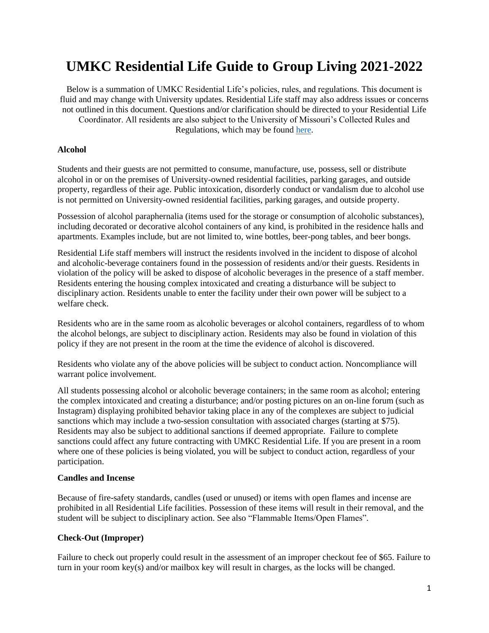# **UMKC Residential Life Guide to Group Living 2021-2022**

Below is a summation of UMKC Residential Life's policies, rules, and regulations. This document is fluid and may change with University updates. Residential Life staff may also address issues or concerns not outlined in this document. Questions and/or clarification should be directed to your Residential Life Coordinator. All residents are also subject to the University of Missouri's Collected Rules and Regulations, which may be foun[d here.](https://www.umsystem.edu/ums/rules/collected_rules)

#### **Alcohol**

Students and their guests are not permitted to consume, manufacture, use, possess, sell or distribute alcohol in or on the premises of University-owned residential facilities, parking garages, and outside property, regardless of their age. Public intoxication, disorderly conduct or vandalism due to alcohol use is not permitted on University-owned residential facilities, parking garages, and outside property.

Possession of alcohol paraphernalia (items used for the storage or consumption of alcoholic substances), including decorated or decorative alcohol containers of any kind, is prohibited in the residence halls and apartments. Examples include, but are not limited to, wine bottles, beer-pong tables, and beer bongs.

Residential Life staff members will instruct the residents involved in the incident to dispose of alcohol and alcoholic-beverage containers found in the possession of residents and/or their guests. Residents in violation of the policy will be asked to dispose of alcoholic beverages in the presence of a staff member. Residents entering the housing complex intoxicated and creating a disturbance will be subject to disciplinary action. Residents unable to enter the facility under their own power will be subject to a welfare check.

Residents who are in the same room as alcoholic beverages or alcohol containers, regardless of to whom the alcohol belongs, are subject to disciplinary action. Residents may also be found in violation of this policy if they are not present in the room at the time the evidence of alcohol is discovered.

Residents who violate any of the above policies will be subject to conduct action. Noncompliance will warrant police involvement.

All students possessing alcohol or alcoholic beverage containers; in the same room as alcohol; entering the complex intoxicated and creating a disturbance; and/or posting pictures on an on-line forum (such as Instagram) displaying prohibited behavior taking place in any of the complexes are subject to judicial sanctions which may include a two-session consultation with associated charges (starting at \$75). Residents may also be subject to additional sanctions if deemed appropriate. Failure to complete sanctions could affect any future contracting with UMKC Residential Life. If you are present in a room where one of these policies is being violated, you will be subject to conduct action, regardless of your participation.

#### **Candles and Incense**

Because of fire-safety standards, candles (used or unused) or items with open flames and incense are prohibited in all Residential Life facilities. Possession of these items will result in their removal, and the student will be subject to disciplinary action. See also "Flammable Items/Open Flames".

#### **Check-Out (Improper)**

Failure to check out properly could result in the assessment of an improper checkout fee of \$65. Failure to turn in your room key(s) and/or mailbox key will result in charges, as the locks will be changed.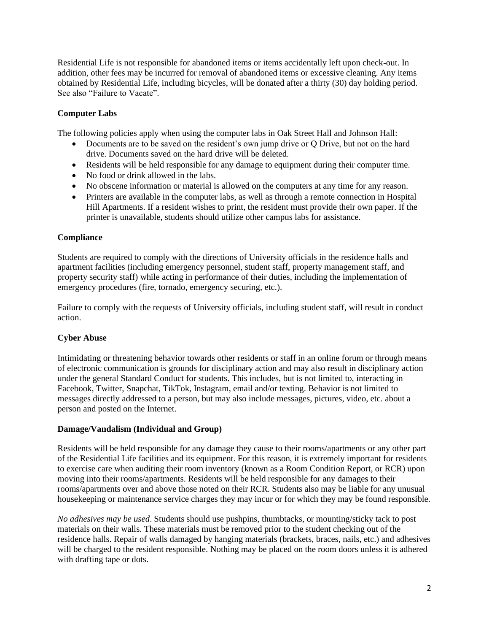Residential Life is not responsible for abandoned items or items accidentally left upon check-out. In addition, other fees may be incurred for removal of abandoned items or excessive cleaning. Any items obtained by Residential Life, including bicycles, will be donated after a thirty (30) day holding period. See also "Failure to Vacate".

## **Computer Labs**

The following policies apply when using the computer labs in Oak Street Hall and Johnson Hall:

- Documents are to be saved on the resident's own jump drive or Q Drive, but not on the hard drive. Documents saved on the hard drive will be deleted.
- Residents will be held responsible for any damage to equipment during their computer time.
- No food or drink allowed in the labs.
- No obscene information or material is allowed on the computers at any time for any reason.
- Printers are available in the computer labs, as well as through a remote connection in Hospital Hill Apartments. If a resident wishes to print, the resident must provide their own paper. If the printer is unavailable, students should utilize other campus labs for assistance.

## **Compliance**

Students are required to comply with the directions of University officials in the residence halls and apartment facilities (including emergency personnel, student staff, property management staff, and property security staff) while acting in performance of their duties, including the implementation of emergency procedures (fire, tornado, emergency securing, etc.).

Failure to comply with the requests of University officials, including student staff, will result in conduct action.

## **Cyber Abuse**

Intimidating or threatening behavior towards other residents or staff in an online forum or through means of electronic communication is grounds for disciplinary action and may also result in disciplinary action under the general Standard Conduct for students. This includes, but is not limited to, interacting in Facebook, Twitter, Snapchat, TikTok, Instagram, email and/or texting. Behavior is not limited to messages directly addressed to a person, but may also include messages, pictures, video, etc. about a person and posted on the Internet.

#### **Damage/Vandalism (Individual and Group)**

Residents will be held responsible for any damage they cause to their rooms/apartments or any other part of the Residential Life facilities and its equipment. For this reason, it is extremely important for residents to exercise care when auditing their room inventory (known as a Room Condition Report, or RCR) upon moving into their rooms/apartments. Residents will be held responsible for any damages to their rooms/apartments over and above those noted on their RCR. Students also may be liable for any unusual housekeeping or maintenance service charges they may incur or for which they may be found responsible.

*No adhesives may be used*. Students should use pushpins, thumbtacks, or mounting/sticky tack to post materials on their walls. These materials must be removed prior to the student checking out of the residence halls. Repair of walls damaged by hanging materials (brackets, braces, nails, etc.) and adhesives will be charged to the resident responsible. Nothing may be placed on the room doors unless it is adhered with drafting tape or dots.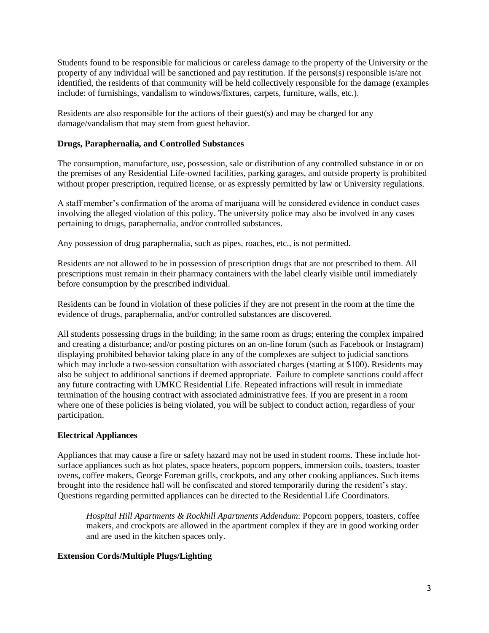Students found to be responsible for malicious or careless damage to the property of the University or the property of any individual will be sanctioned and pay restitution. If the persons(s) responsible is/are not identified, the residents of that community will be held collectively responsible for the damage (examples include: of furnishings, vandalism to windows/fixtures, carpets, furniture, walls, etc.).

Residents are also responsible for the actions of their guest(s) and may be charged for any damage/vandalism that may stem from guest behavior.

#### **Drugs, Paraphernalia, and Controlled Substances**

The consumption, manufacture, use, possession, sale or distribution of any controlled substance in or on the premises of any Residential Life-owned facilities, parking garages, and outside property is prohibited without proper prescription, required license, or as expressly permitted by law or University regulations.

A staff member's confirmation of the aroma of marijuana will be considered evidence in conduct cases involving the alleged violation of this policy. The university police may also be involved in any cases pertaining to drugs, paraphernalia, and/or controlled substances.

Any possession of drug paraphernalia, such as pipes, roaches, etc., is not permitted.

Residents are not allowed to be in possession of prescription drugs that are not prescribed to them. All prescriptions must remain in their pharmacy containers with the label clearly visible until immediately before consumption by the prescribed individual.

Residents can be found in violation of these policies if they are not present in the room at the time the evidence of drugs, paraphernalia, and/or controlled substances are discovered.

All students possessing drugs in the building; in the same room as drugs; entering the complex impaired and creating a disturbance; and/or posting pictures on an on-line forum (such as Facebook or Instagram) displaying prohibited behavior taking place in any of the complexes are subject to judicial sanctions which may include a two-session consultation with associated charges (starting at \$100). Residents may also be subject to additional sanctions if deemed appropriate. Failure to complete sanctions could affect any future contracting with UMKC Residential Life. Repeated infractions will result in immediate termination of the housing contract with associated administrative fees. If you are present in a room where one of these policies is being violated, you will be subject to conduct action, regardless of your participation.

#### **Electrical Appliances**

Appliances that may cause a fire or safety hazard may not be used in student rooms. These include hotsurface appliances such as hot plates, space heaters, popcorn poppers, immersion coils, toasters, toaster ovens, coffee makers, George Foreman grills, crockpots, and any other cooking appliances. Such items brought into the residence hall will be confiscated and stored temporarily during the resident's stay. Questions regarding permitted appliances can be directed to the Residential Life Coordinators.

*Hospital Hill Apartments & Rockhill Apartments Addendum*: Popcorn poppers, toasters, coffee makers, and crockpots are allowed in the apartment complex if they are in good working order and are used in the kitchen spaces only.

#### **Extension Cords/Multiple Plugs/Lighting**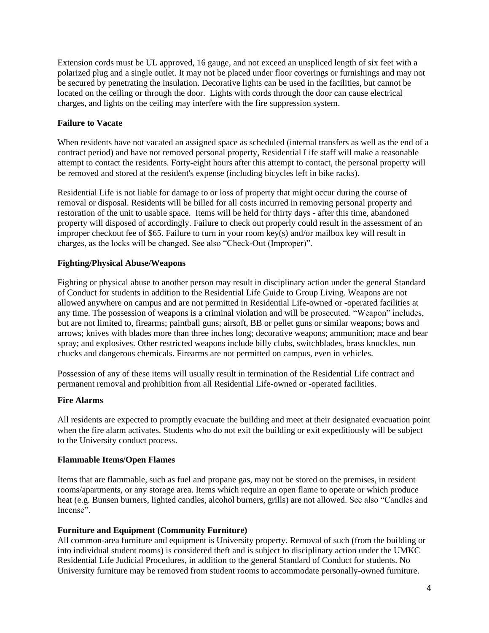Extension cords must be UL approved, 16 gauge, and not exceed an unspliced length of six feet with a polarized plug and a single outlet. It may not be placed under floor coverings or furnishings and may not be secured by penetrating the insulation. Decorative lights can be used in the facilities, but cannot be located on the ceiling or through the door. Lights with cords through the door can cause electrical charges, and lights on the ceiling may interfere with the fire suppression system.

## **Failure to Vacate**

When residents have not vacated an assigned space as scheduled (internal transfers as well as the end of a contract period) and have not removed personal property, Residential Life staff will make a reasonable attempt to contact the residents. Forty-eight hours after this attempt to contact, the personal property will be removed and stored at the resident's expense (including bicycles left in bike racks).

Residential Life is not liable for damage to or loss of property that might occur during the course of removal or disposal. Residents will be billed for all costs incurred in removing personal property and restoration of the unit to usable space. Items will be held for thirty days - after this time, abandoned property will disposed of accordingly. Failure to check out properly could result in the assessment of an improper checkout fee of \$65. Failure to turn in your room key(s) and/or mailbox key will result in charges, as the locks will be changed. See also "Check-Out (Improper)".

## **Fighting/Physical Abuse/Weapons**

Fighting or physical abuse to another person may result in disciplinary action under the general Standard of Conduct for students in addition to the Residential Life Guide to Group Living. Weapons are not allowed anywhere on campus and are not permitted in Residential Life-owned or -operated facilities at any time. The possession of weapons is a criminal violation and will be prosecuted. "Weapon" includes, but are not limited to, firearms; paintball guns; airsoft, BB or pellet guns or similar weapons; bows and arrows; knives with blades more than three inches long; decorative weapons; ammunition; mace and bear spray; and explosives. Other restricted weapons include billy clubs, switchblades, brass knuckles, nun chucks and dangerous chemicals. Firearms are not permitted on campus, even in vehicles.

Possession of any of these items will usually result in termination of the Residential Life contract and permanent removal and prohibition from all Residential Life-owned or -operated facilities.

#### **Fire Alarms**

All residents are expected to promptly evacuate the building and meet at their designated evacuation point when the fire alarm activates. Students who do not exit the building or exit expeditiously will be subject to the University conduct process.

#### **Flammable Items/Open Flames**

Items that are flammable, such as fuel and propane gas, may not be stored on the premises, in resident rooms/apartments, or any storage area. Items which require an open flame to operate or which produce heat (e.g. Bunsen burners, lighted candles, alcohol burners, grills) are not allowed. See also "Candles and Incense".

#### **Furniture and Equipment (Community Furniture)**

All common-area furniture and equipment is University property. Removal of such (from the building or into individual student rooms) is considered theft and is subject to disciplinary action under the UMKC Residential Life Judicial Procedures, in addition to the general Standard of Conduct for students. No University furniture may be removed from student rooms to accommodate personally-owned furniture.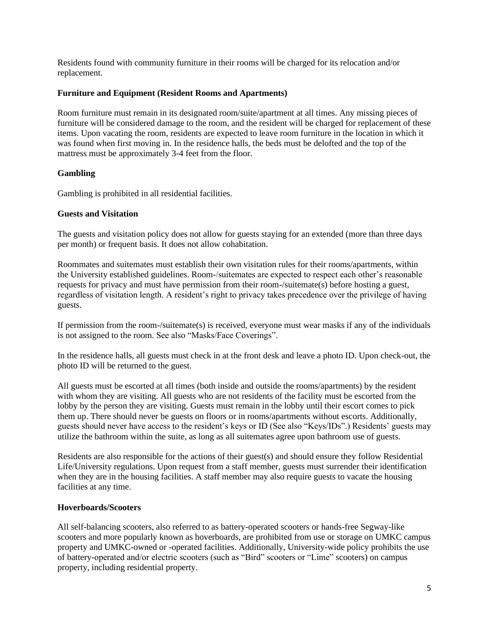Residents found with community furniture in their rooms will be charged for its relocation and/or replacement.

#### **Furniture and Equipment (Resident Rooms and Apartments)**

Room furniture must remain in its designated room/suite/apartment at all times. Any missing pieces of furniture will be considered damage to the room, and the resident will be charged for replacement of these items. Upon vacating the room, residents are expected to leave room furniture in the location in which it was found when first moving in. In the residence halls, the beds must be delofted and the top of the mattress must be approximately 3-4 feet from the floor.

#### **Gambling**

Gambling is prohibited in all residential facilities.

#### **Guests and Visitation**

The guests and visitation policy does not allow for guests staying for an extended (more than three days per month) or frequent basis. It does not allow cohabitation.

Roommates and suitemates must establish their own visitation rules for their rooms/apartments, within the University established guidelines. Room-/suitemates are expected to respect each other's reasonable requests for privacy and must have permission from their room-/suitemate(s) before hosting a guest, regardless of visitation length. A resident's right to privacy takes precedence over the privilege of having guests.

If permission from the room-/suitemate(s) is received, everyone must wear masks if any of the individuals is not assigned to the room. See also "Masks/Face Coverings".

In the residence halls, all guests must check in at the front desk and leave a photo ID. Upon check-out, the photo ID will be returned to the guest.

All guests must be escorted at all times (both inside and outside the rooms/apartments) by the resident with whom they are visiting. All guests who are not residents of the facility must be escorted from the lobby by the person they are visiting. Guests must remain in the lobby until their escort comes to pick them up. There should never be guests on floors or in rooms/apartments without escorts. Additionally, guests should never have access to the resident's keys or ID (See also "Keys/IDs".) Residents' guests may utilize the bathroom within the suite, as long as all suitemates agree upon bathroom use of guests.

Residents are also responsible for the actions of their guest(s) and should ensure they follow Residential Life/University regulations. Upon request from a staff member, guests must surrender their identification when they are in the housing facilities. A staff member may also require guests to vacate the housing facilities at any time.

#### **Hoverboards/Scooters**

All self-balancing scooters, also referred to as battery-operated scooters or hands-free Segway-like scooters and more popularly known as hoverboards, are prohibited from use or storage on UMKC campus property and UMKC-owned or -operated facilities. Additionally, University-wide policy prohibits the use of battery-operated and/or electric scooters (such as "Bird" scooters or "Lime" scooters) on campus property, including residential property.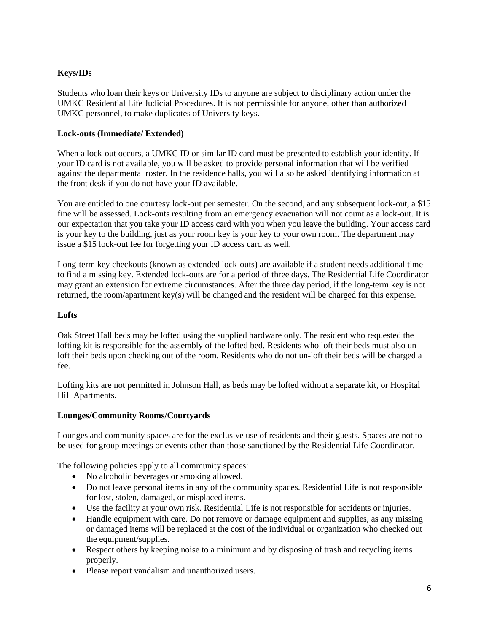# **Keys/IDs**

Students who loan their keys or University IDs to anyone are subject to disciplinary action under the UMKC Residential Life Judicial Procedures. It is not permissible for anyone, other than authorized UMKC personnel, to make duplicates of University keys.

## **Lock-outs (Immediate/ Extended)**

When a lock-out occurs, a UMKC ID or similar ID card must be presented to establish your identity. If your ID card is not available, you will be asked to provide personal information that will be verified against the departmental roster. In the residence halls, you will also be asked identifying information at the front desk if you do not have your ID available.

You are entitled to one courtesy lock-out per semester. On the second, and any subsequent lock-out, a \$15 fine will be assessed. Lock-outs resulting from an emergency evacuation will not count as a lock-out. It is our expectation that you take your ID access card with you when you leave the building. Your access card is your key to the building, just as your room key is your key to your own room. The department may issue a \$15 lock-out fee for forgetting your ID access card as well.

Long-term key checkouts (known as extended lock-outs) are available if a student needs additional time to find a missing key. Extended lock-outs are for a period of three days. The Residential Life Coordinator may grant an extension for extreme circumstances. After the three day period, if the long-term key is not returned, the room/apartment key(s) will be changed and the resident will be charged for this expense.

## **Lofts**

Oak Street Hall beds may be lofted using the supplied hardware only. The resident who requested the lofting kit is responsible for the assembly of the lofted bed. Residents who loft their beds must also unloft their beds upon checking out of the room. Residents who do not un-loft their beds will be charged a fee.

Lofting kits are not permitted in Johnson Hall, as beds may be lofted without a separate kit, or Hospital Hill Apartments.

#### **Lounges/Community Rooms/Courtyards**

Lounges and community spaces are for the exclusive use of residents and their guests. Spaces are not to be used for group meetings or events other than those sanctioned by the Residential Life Coordinator.

The following policies apply to all community spaces:

- No alcoholic beverages or smoking allowed.
- Do not leave personal items in any of the community spaces. Residential Life is not responsible for lost, stolen, damaged, or misplaced items.
- Use the facility at your own risk. Residential Life is not responsible for accidents or injuries.
- Handle equipment with care. Do not remove or damage equipment and supplies, as any missing or damaged items will be replaced at the cost of the individual or organization who checked out the equipment/supplies.
- Respect others by keeping noise to a minimum and by disposing of trash and recycling items properly.
- Please report vandalism and unauthorized users.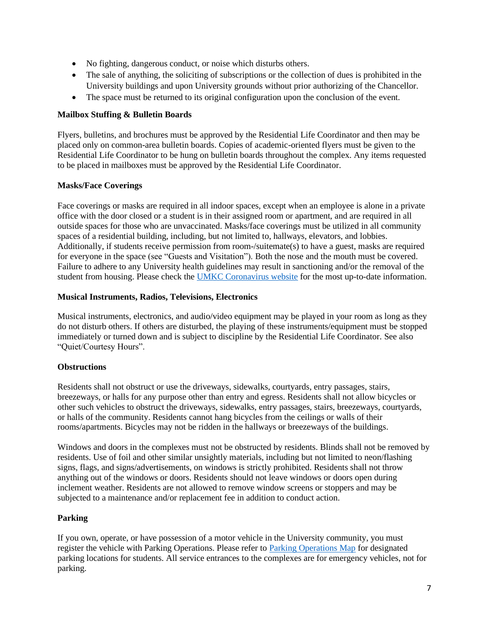- No fighting, dangerous conduct, or noise which disturbs others.
- The sale of anything, the soliciting of subscriptions or the collection of dues is prohibited in the University buildings and upon University grounds without prior authorizing of the Chancellor.
- The space must be returned to its original configuration upon the conclusion of the event.

## **Mailbox Stuffing & Bulletin Boards**

Flyers, bulletins, and brochures must be approved by the Residential Life Coordinator and then may be placed only on common-area bulletin boards. Copies of academic-oriented flyers must be given to the Residential Life Coordinator to be hung on bulletin boards throughout the complex. Any items requested to be placed in mailboxes must be approved by the Residential Life Coordinator.

## **Masks/Face Coverings**

Face coverings or masks are required in all indoor spaces, except when an employee is alone in a private office with the door closed or a student is in their assigned room or apartment, and are required in all outside spaces for those who are unvaccinated. Masks/face coverings must be utilized in all community spaces of a residential building, including, but not limited to, hallways, elevators, and lobbies. Additionally, if students receive permission from room-/suitemate(s) to have a guest, masks are required for everyone in the space (see "Guests and Visitation"). Both the nose and the mouth must be covered. Failure to adhere to any University health guidelines may result in sanctioning and/or the removal of the student from housing. Please check the [UMKC Coronavirus website](https://www.umkc.edu/coronavirus/index.html) for the most up-to-date information.

#### **Musical Instruments, Radios, Televisions, Electronics**

Musical instruments, electronics, and audio/video equipment may be played in your room as long as they do not disturb others. If others are disturbed, the playing of these instruments/equipment must be stopped immediately or turned down and is subject to discipline by the Residential Life Coordinator. See also "Quiet/Courtesy Hours".

## **Obstructions**

Residents shall not obstruct or use the driveways, sidewalks, courtyards, entry passages, stairs, breezeways, or halls for any purpose other than entry and egress. Residents shall not allow bicycles or other such vehicles to obstruct the driveways, sidewalks, entry passages, stairs, breezeways, courtyards, or halls of the community. Residents cannot hang bicycles from the ceilings or walls of their rooms/apartments. Bicycles may not be ridden in the hallways or breezeways of the buildings.

Windows and doors in the complexes must not be obstructed by residents. Blinds shall not be removed by residents. Use of foil and other similar unsightly materials, including but not limited to neon/flashing signs, flags, and signs/advertisements, on windows is strictly prohibited. Residents shall not throw anything out of the windows or doors. Residents should not leave windows or doors open during inclement weather. Residents are not allowed to remove window screens or stoppers and may be subjected to a maintenance and/or replacement fee in addition to conduct action.

#### **Parking**

If you own, operate, or have possession of a motor vehicle in the University community, you must register the vehicle with Parking Operations. Please refer to [Parking Operations Map](http://www.umkc.edu/maps/) for designated parking locations for students. All service entrances to the complexes are for emergency vehicles, not for parking.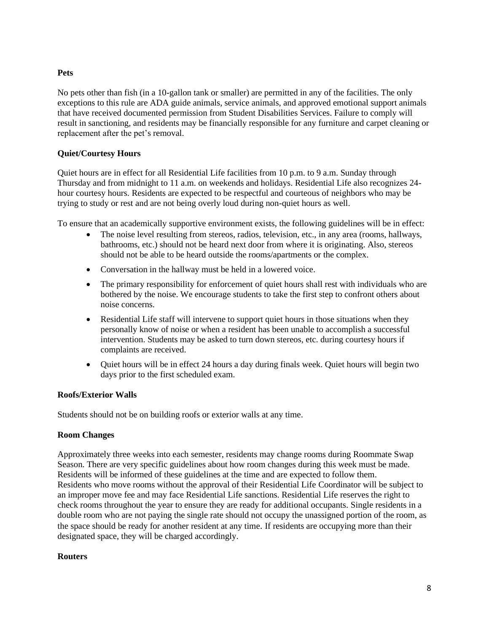## **Pets**

No pets other than fish (in a 10-gallon tank or smaller) are permitted in any of the facilities. The only exceptions to this rule are ADA guide animals, service animals, and approved emotional support animals that have received documented permission from Student Disabilities Services. Failure to comply will result in sanctioning, and residents may be financially responsible for any furniture and carpet cleaning or replacement after the pet's removal.

## **Quiet/Courtesy Hours**

Quiet hours are in effect for all Residential Life facilities from 10 p.m. to 9 a.m. Sunday through Thursday and from midnight to 11 a.m. on weekends and holidays. Residential Life also recognizes 24 hour courtesy hours. Residents are expected to be respectful and courteous of neighbors who may be trying to study or rest and are not being overly loud during non-quiet hours as well.

To ensure that an academically supportive environment exists, the following guidelines will be in effect:

- The noise level resulting from stereos, radios, television, etc., in any area (rooms, hallways, bathrooms, etc.) should not be heard next door from where it is originating. Also, stereos should not be able to be heard outside the rooms/apartments or the complex.
- Conversation in the hallway must be held in a lowered voice.
- The primary responsibility for enforcement of quiet hours shall rest with individuals who are bothered by the noise. We encourage students to take the first step to confront others about noise concerns.
- Residential Life staff will intervene to support quiet hours in those situations when they personally know of noise or when a resident has been unable to accomplish a successful intervention. Students may be asked to turn down stereos, etc. during courtesy hours if complaints are received.
- Quiet hours will be in effect 24 hours a day during finals week. Quiet hours will begin two days prior to the first scheduled exam.

## **Roofs/Exterior Walls**

Students should not be on building roofs or exterior walls at any time.

#### **Room Changes**

Approximately three weeks into each semester, residents may change rooms during Roommate Swap Season. There are very specific guidelines about how room changes during this week must be made. Residents will be informed of these guidelines at the time and are expected to follow them. Residents who move rooms without the approval of their Residential Life Coordinator will be subject to an improper move fee and may face Residential Life sanctions. Residential Life reserves the right to check rooms throughout the year to ensure they are ready for additional occupants. Single residents in a double room who are not paying the single rate should not occupy the unassigned portion of the room, as the space should be ready for another resident at any time. If residents are occupying more than their designated space, they will be charged accordingly.

#### **Routers**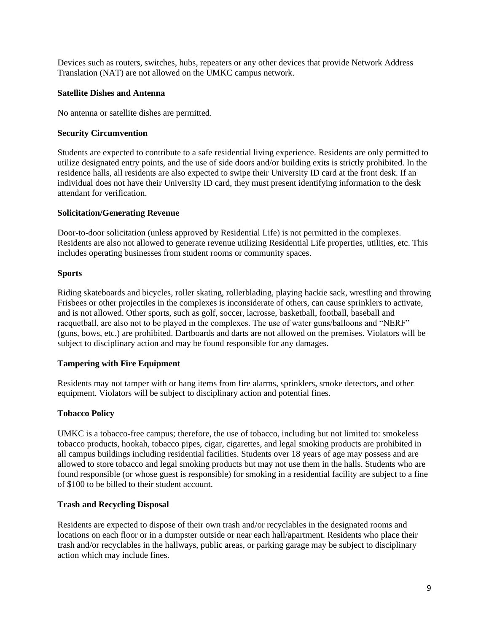Devices such as routers, switches, hubs, repeaters or any other devices that provide Network Address Translation (NAT) are not allowed on the UMKC campus network.

#### **Satellite Dishes and Antenna**

No antenna or satellite dishes are permitted.

#### **Security Circumvention**

Students are expected to contribute to a safe residential living experience. Residents are only permitted to utilize designated entry points, and the use of side doors and/or building exits is strictly prohibited. In the residence halls, all residents are also expected to swipe their University ID card at the front desk. If an individual does not have their University ID card, they must present identifying information to the desk attendant for verification.

#### **Solicitation/Generating Revenue**

Door-to-door solicitation (unless approved by Residential Life) is not permitted in the complexes. Residents are also not allowed to generate revenue utilizing Residential Life properties, utilities, etc. This includes operating businesses from student rooms or community spaces.

#### **Sports**

Riding skateboards and bicycles, roller skating, rollerblading, playing hackie sack, wrestling and throwing Frisbees or other projectiles in the complexes is inconsiderate of others, can cause sprinklers to activate, and is not allowed. Other sports, such as golf, soccer, lacrosse, basketball, football, baseball and racquetball, are also not to be played in the complexes. The use of water guns/balloons and "NERF" (guns, bows, etc.) are prohibited. Dartboards and darts are not allowed on the premises. Violators will be subject to disciplinary action and may be found responsible for any damages.

## **Tampering with Fire Equipment**

Residents may not tamper with or hang items from fire alarms, sprinklers, smoke detectors, and other equipment. Violators will be subject to disciplinary action and potential fines.

## **Tobacco Policy**

UMKC is a tobacco-free campus; therefore, the use of tobacco, including but not limited to: smokeless tobacco products, hookah, tobacco pipes, cigar, cigarettes, and legal smoking products are prohibited in all campus buildings including residential facilities. Students over 18 years of age may possess and are allowed to store tobacco and legal smoking products but may not use them in the halls. Students who are found responsible (or whose guest is responsible) for smoking in a residential facility are subject to a fine of \$100 to be billed to their student account.

#### **Trash and Recycling Disposal**

Residents are expected to dispose of their own trash and/or recyclables in the designated rooms and locations on each floor or in a dumpster outside or near each hall/apartment. Residents who place their trash and/or recyclables in the hallways, public areas, or parking garage may be subject to disciplinary action which may include fines.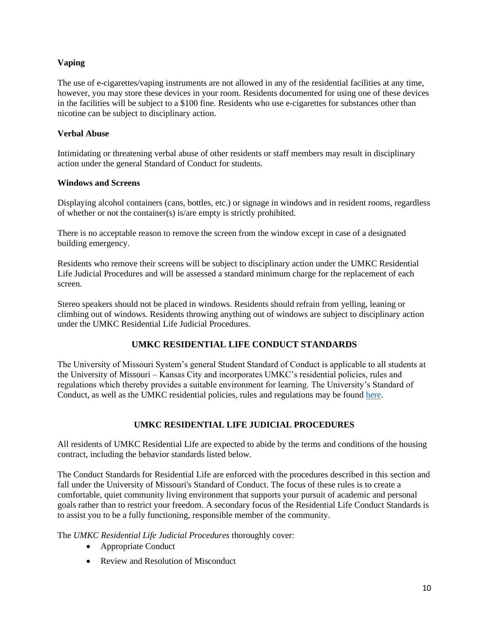## **Vaping**

The use of e-cigarettes/vaping instruments are not allowed in any of the residential facilities at any time, however, you may store these devices in your room. Residents documented for using one of these devices in the facilities will be subject to a \$100 fine. Residents who use e-cigarettes for substances other than nicotine can be subject to disciplinary action.

#### **Verbal Abuse**

Intimidating or threatening verbal abuse of other residents or staff members may result in disciplinary action under the general Standard of Conduct for students.

#### **Windows and Screens**

Displaying alcohol containers (cans, bottles, etc.) or signage in windows and in resident rooms, regardless of whether or not the container(s) is/are empty is strictly prohibited.

There is no acceptable reason to remove the screen from the window except in case of a designated building emergency.

Residents who remove their screens will be subject to disciplinary action under the UMKC Residential Life Judicial Procedures and will be assessed a standard minimum charge for the replacement of each screen.

Stereo speakers should not be placed in windows. Residents should refrain from yelling, leaning or climbing out of windows. Residents throwing anything out of windows are subject to disciplinary action under the UMKC Residential Life Judicial Procedures.

# **UMKC RESIDENTIAL LIFE CONDUCT STANDARDS**

The University of Missouri System's general Student Standard of Conduct is applicable to all students at the University of Missouri – Kansas City and incorporates UMKC's residential policies, rules and regulations which thereby provides a suitable environment for learning. The University's Standard of Conduct, as well as the UMKC residential policies, rules and regulations may be found [here.](https://www.umsystem.edu/ums/rules/collected_rules/programs/ch200/200.010_standard_of_conduct)

## **UMKC RESIDENTIAL LIFE JUDICIAL PROCEDURES**

All residents of UMKC Residential Life are expected to abide by the terms and conditions of the housing contract, including the behavior standards listed below.

The Conduct Standards for Residential Life are enforced with the procedures described in this section and fall under the University of Missouri's Standard of Conduct. The focus of these rules is to create a comfortable, quiet community living environment that supports your pursuit of academic and personal goals rather than to restrict your freedom. A secondary focus of the Residential Life Conduct Standards is to assist you to be a fully functioning, responsible member of the community.

The *UMKC Residential Life Judicial Procedures* thoroughly cover:

- Appropriate Conduct
- Review and Resolution of Misconduct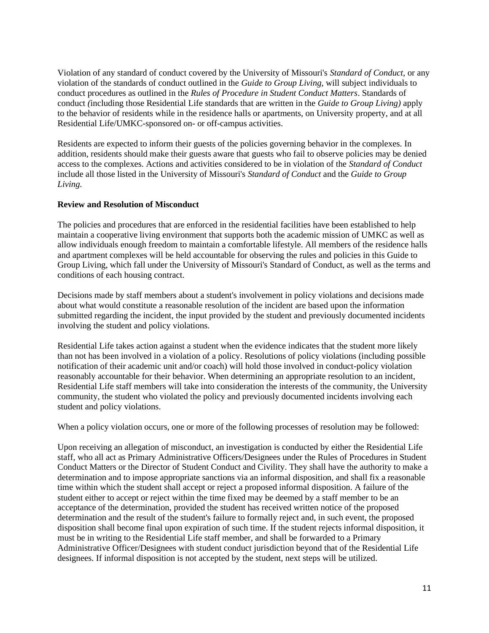Violation of any standard of conduct covered by the University of Missouri's *Standard of Conduct,* or any violation of the standards of conduct outlined in the *Guide to Group Living,* will subject individuals to conduct procedures as outlined in the *Rules of Procedure in Student Conduct Matters*. Standards of conduct *(*including those Residential Life standards that are written in the *Guide to Group Living)* apply to the behavior of residents while in the residence halls or apartments, on University property, and at all Residential Life/UMKC-sponsored on- or off-campus activities.

Residents are expected to inform their guests of the policies governing behavior in the complexes. In addition, residents should make their guests aware that guests who fail to observe policies may be denied access to the complexes. Actions and activities considered to be in violation of the *Standard of Conduct*  include all those listed in the University of Missouri's *Standard of Conduct* and the *Guide to Group Living.* 

## **Review and Resolution of Misconduct**

The policies and procedures that are enforced in the residential facilities have been established to help maintain a cooperative living environment that supports both the academic mission of UMKC as well as allow individuals enough freedom to maintain a comfortable lifestyle. All members of the residence halls and apartment complexes will be held accountable for observing the rules and policies in this Guide to Group Living, which fall under the University of Missouri's Standard of Conduct, as well as the terms and conditions of each housing contract.

Decisions made by staff members about a student's involvement in policy violations and decisions made about what would constitute a reasonable resolution of the incident are based upon the information submitted regarding the incident, the input provided by the student and previously documented incidents involving the student and policy violations.

Residential Life takes action against a student when the evidence indicates that the student more likely than not has been involved in a violation of a policy. Resolutions of policy violations (including possible notification of their academic unit and/or coach) will hold those involved in conduct-policy violation reasonably accountable for their behavior. When determining an appropriate resolution to an incident, Residential Life staff members will take into consideration the interests of the community, the University community, the student who violated the policy and previously documented incidents involving each student and policy violations.

When a policy violation occurs, one or more of the following processes of resolution may be followed:

Upon receiving an allegation of misconduct, an investigation is conducted by either the Residential Life staff, who all act as Primary Administrative Officers/Designees under the Rules of Procedures in Student Conduct Matters or the Director of Student Conduct and Civility. They shall have the authority to make a determination and to impose appropriate sanctions via an informal disposition, and shall fix a reasonable time within which the student shall accept or reject a proposed informal disposition. A failure of the student either to accept or reject within the time fixed may be deemed by a staff member to be an acceptance of the determination, provided the student has received written notice of the proposed determination and the result of the student's failure to formally reject and, in such event, the proposed disposition shall become final upon expiration of such time. If the student rejects informal disposition, it must be in writing to the Residential Life staff member, and shall be forwarded to a Primary Administrative Officer/Designees with student conduct jurisdiction beyond that of the Residential Life designees. If informal disposition is not accepted by the student, next steps will be utilized.